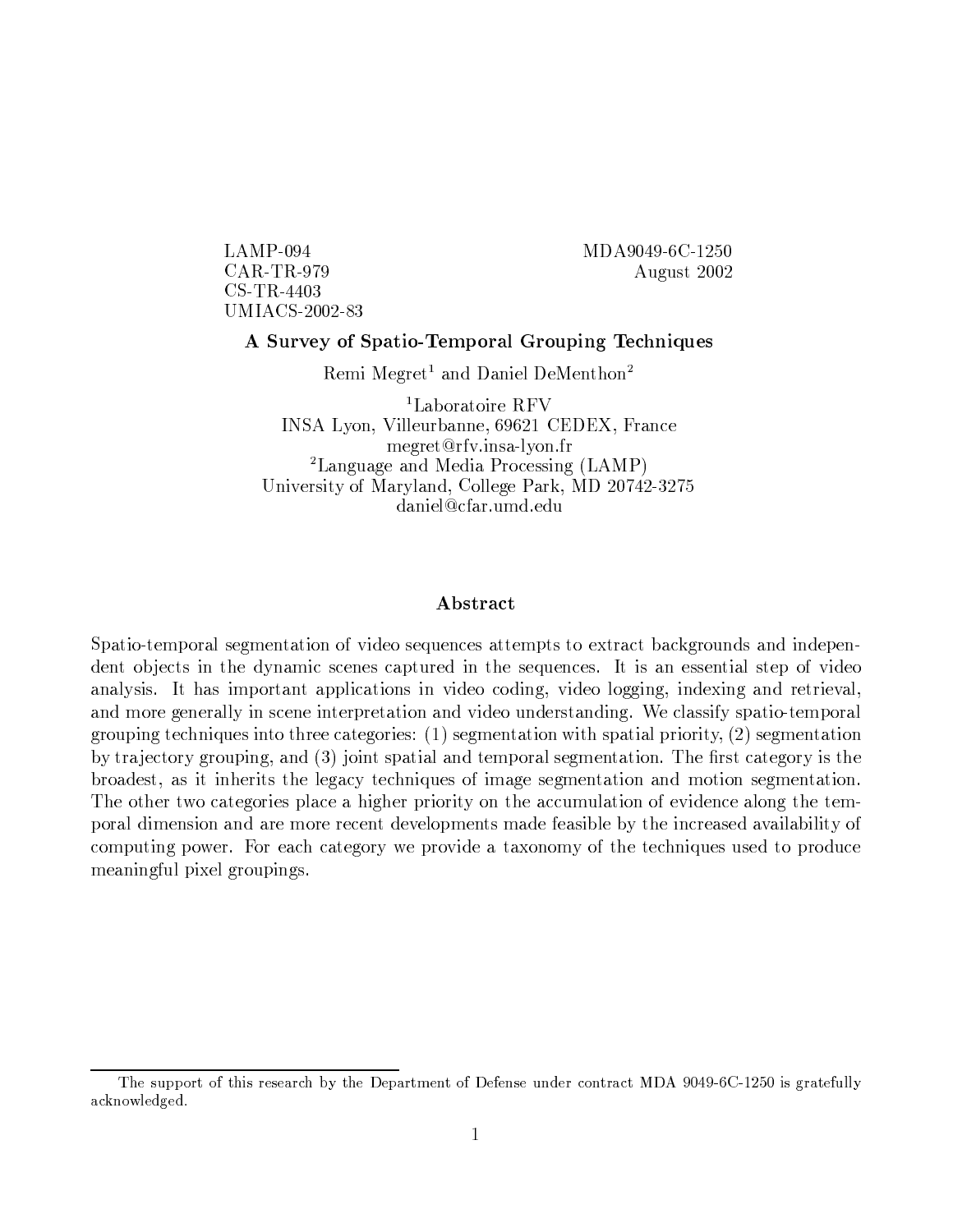$LAMP-094$  $CAR$ -TR-979  $CS$ -TR-4403 **UMIACS-2002-83**  MDA9049-6C-1250 August 2002

# A Survey of Spatio-Temporal Grouping Techniques

Remi Megret<sup>1</sup> and Daniel DeMenthon<sup>2</sup>

<sup>1</sup>Laboratoire RFV INSA Lyon, Villeurbanne, 69621 CEDEX, France megret@rfv.insa-lvon.fr <sup>2</sup>Language and Media Processing  $(LAMP)$ University of Maryland, College Park, MD 20742-3275 daniel@cfar.umd.edu

# Abstract

Spatio-temporal segmentation of video sequences attempts to extract backgrounds and independent objects in the dynamic scenes captured in the sequences. It is an essential step of video analysis. It has important applications in video coding, video logging, indexing and retrieval, and more generally in scene interpretation and video understanding. We classify spatio-temporal grouping techniques into three categories:  $(1)$  segmentation with spatial priority,  $(2)$  segmentation by trajectory grouping, and (3) joint spatial and temporal segmentation. The first category is the broadest, as it inherits the legacy techniques of image segmentation and motion segmentation. The other two categories place a higher priority on the accumulation of evidence along the temporal dimension and are more recent developments made feasible by the increased availability of computing power. For each category we provide a taxonomy of the techniques used to produce meaningful pixel groupings.

The support of this research by the Department of Defense under contract MDA 9049-6C-1250 is gratefully acknowledged.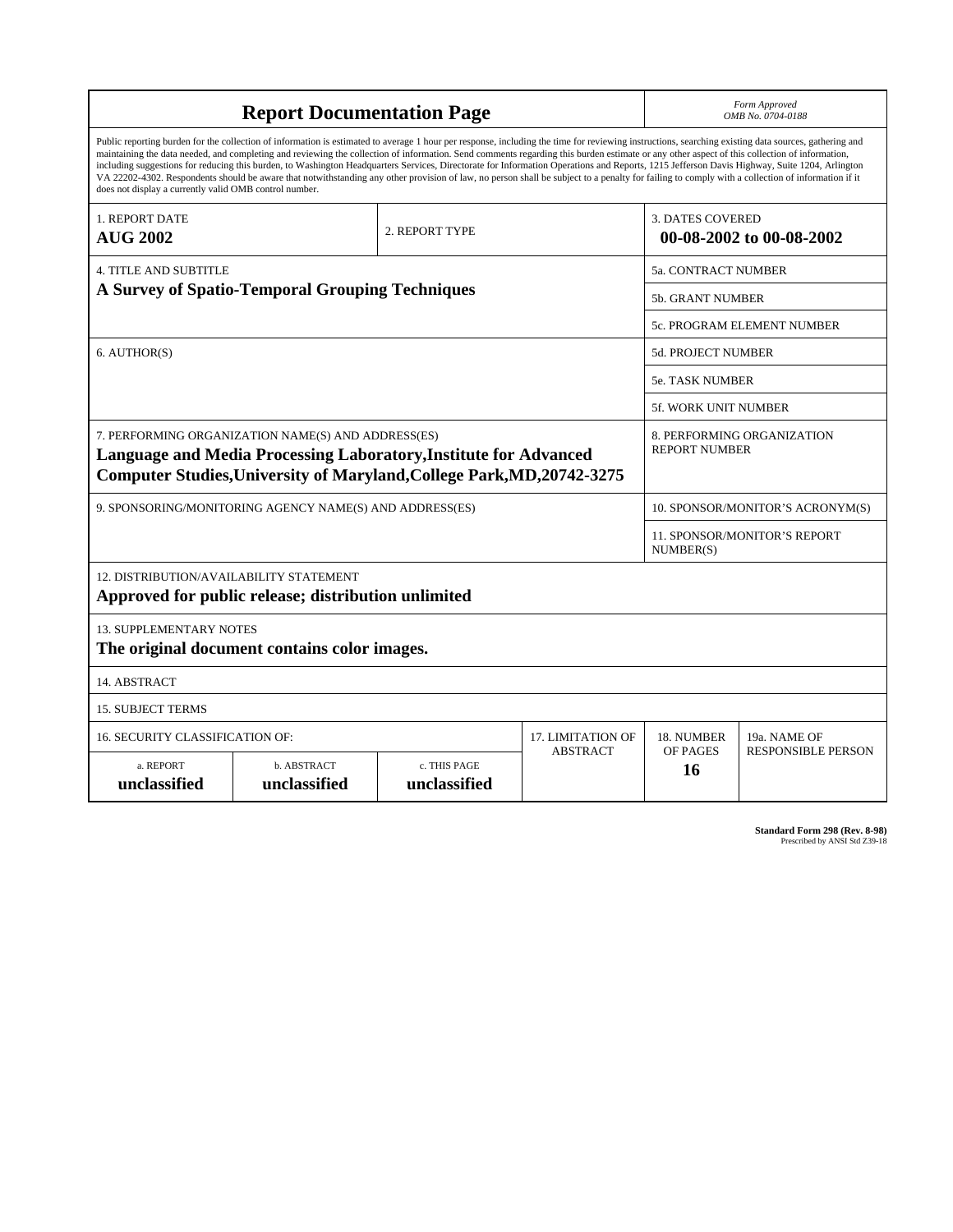| <b>Report Documentation Page</b>                                                                                                                                                                                                                                                                                                                                                                                                                                                                                                                                                                                                                                                                                                                                                                                                                                   |                             |                              |                 | Form Approved<br>OMB No. 0704-0188                  |                           |  |
|--------------------------------------------------------------------------------------------------------------------------------------------------------------------------------------------------------------------------------------------------------------------------------------------------------------------------------------------------------------------------------------------------------------------------------------------------------------------------------------------------------------------------------------------------------------------------------------------------------------------------------------------------------------------------------------------------------------------------------------------------------------------------------------------------------------------------------------------------------------------|-----------------------------|------------------------------|-----------------|-----------------------------------------------------|---------------------------|--|
| Public reporting burden for the collection of information is estimated to average 1 hour per response, including the time for reviewing instructions, searching existing data sources, gathering and<br>maintaining the data needed, and completing and reviewing the collection of information. Send comments regarding this burden estimate or any other aspect of this collection of information,<br>including suggestions for reducing this burden, to Washington Headquarters Services, Directorate for Information Operations and Reports, 1215 Jefferson Davis Highway, Suite 1204, Arlington<br>VA 22202-4302. Respondents should be aware that notwithstanding any other provision of law, no person shall be subject to a penalty for failing to comply with a collection of information if it<br>does not display a currently valid OMB control number. |                             |                              |                 |                                                     |                           |  |
| <b>1. REPORT DATE</b><br><b>AUG 2002</b>                                                                                                                                                                                                                                                                                                                                                                                                                                                                                                                                                                                                                                                                                                                                                                                                                           | 2. REPORT TYPE              |                              |                 | <b>3. DATES COVERED</b><br>00-08-2002 to 00-08-2002 |                           |  |
| <b>4. TITLE AND SUBTITLE</b>                                                                                                                                                                                                                                                                                                                                                                                                                                                                                                                                                                                                                                                                                                                                                                                                                                       |                             |                              |                 | 5a. CONTRACT NUMBER                                 |                           |  |
| A Survey of Spatio-Temporal Grouping Techniques                                                                                                                                                                                                                                                                                                                                                                                                                                                                                                                                                                                                                                                                                                                                                                                                                    |                             |                              |                 | <b>5b. GRANT NUMBER</b>                             |                           |  |
|                                                                                                                                                                                                                                                                                                                                                                                                                                                                                                                                                                                                                                                                                                                                                                                                                                                                    |                             |                              |                 | 5c. PROGRAM ELEMENT NUMBER                          |                           |  |
| 6. AUTHOR(S)                                                                                                                                                                                                                                                                                                                                                                                                                                                                                                                                                                                                                                                                                                                                                                                                                                                       |                             |                              |                 | 5d. PROJECT NUMBER                                  |                           |  |
|                                                                                                                                                                                                                                                                                                                                                                                                                                                                                                                                                                                                                                                                                                                                                                                                                                                                    |                             |                              |                 | <b>5e. TASK NUMBER</b>                              |                           |  |
|                                                                                                                                                                                                                                                                                                                                                                                                                                                                                                                                                                                                                                                                                                                                                                                                                                                                    |                             |                              |                 | <b>5f. WORK UNIT NUMBER</b>                         |                           |  |
| 7. PERFORMING ORGANIZATION NAME(S) AND ADDRESS(ES)<br>Language and Media Processing Laboratory, Institute for Advanced<br>Computer Studies, University of Maryland, College Park, MD, 20742-3275                                                                                                                                                                                                                                                                                                                                                                                                                                                                                                                                                                                                                                                                   |                             |                              |                 | 8. PERFORMING ORGANIZATION<br><b>REPORT NUMBER</b>  |                           |  |
| 9. SPONSORING/MONITORING AGENCY NAME(S) AND ADDRESS(ES)                                                                                                                                                                                                                                                                                                                                                                                                                                                                                                                                                                                                                                                                                                                                                                                                            |                             |                              |                 | 10. SPONSOR/MONITOR'S ACRONYM(S)                    |                           |  |
|                                                                                                                                                                                                                                                                                                                                                                                                                                                                                                                                                                                                                                                                                                                                                                                                                                                                    |                             |                              |                 | 11. SPONSOR/MONITOR'S REPORT<br>NUMBER(S)           |                           |  |
| 12. DISTRIBUTION/AVAILABILITY STATEMENT<br>Approved for public release; distribution unlimited                                                                                                                                                                                                                                                                                                                                                                                                                                                                                                                                                                                                                                                                                                                                                                     |                             |                              |                 |                                                     |                           |  |
| <b>13. SUPPLEMENTARY NOTES</b><br>The original document contains color images.                                                                                                                                                                                                                                                                                                                                                                                                                                                                                                                                                                                                                                                                                                                                                                                     |                             |                              |                 |                                                     |                           |  |
| 14. ABSTRACT                                                                                                                                                                                                                                                                                                                                                                                                                                                                                                                                                                                                                                                                                                                                                                                                                                                       |                             |                              |                 |                                                     |                           |  |
| <b>15. SUBJECT TERMS</b>                                                                                                                                                                                                                                                                                                                                                                                                                                                                                                                                                                                                                                                                                                                                                                                                                                           |                             |                              |                 |                                                     |                           |  |
| <b>16. SECURITY CLASSIFICATION OF:</b><br>17. LIMITATION OF                                                                                                                                                                                                                                                                                                                                                                                                                                                                                                                                                                                                                                                                                                                                                                                                        |                             |                              |                 | 18. NUMBER                                          | 19a. NAME OF              |  |
| a. REPORT<br>unclassified                                                                                                                                                                                                                                                                                                                                                                                                                                                                                                                                                                                                                                                                                                                                                                                                                                          | b. ABSTRACT<br>unclassified | c. THIS PAGE<br>unclassified | <b>ABSTRACT</b> | OF PAGES<br>16                                      | <b>RESPONSIBLE PERSON</b> |  |

**Standard Form 298 (Rev. 8-98)**<br>Prescribed by ANSI Std Z39-18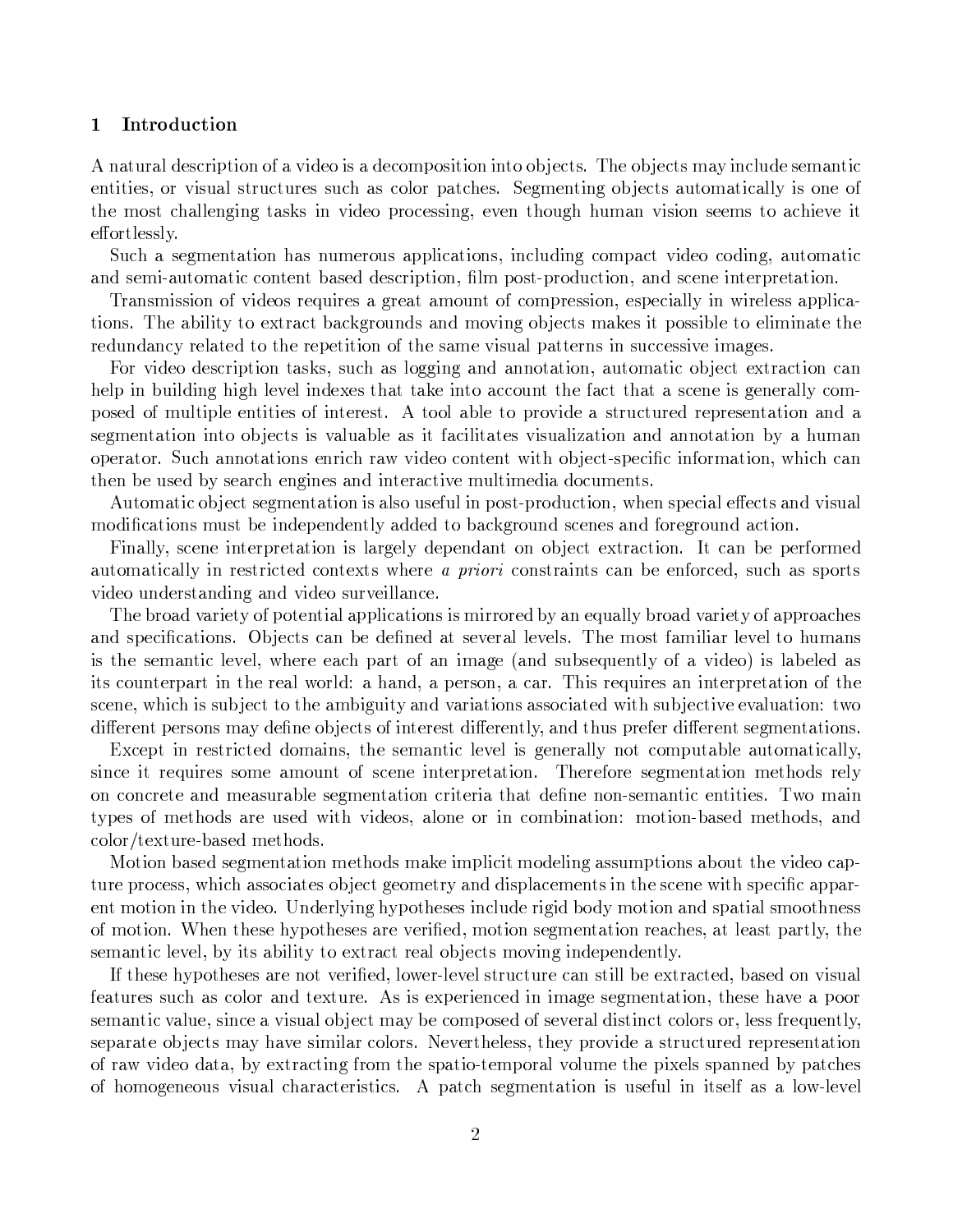#### Introduction  $\mathbf 1$

A natural description of a video is a decomposition into objects. The objects may include semantic entities, or visual structures such as color patches. Segmenting objects automatically is one of the most challenging tasks in video processing, even though human vision seems to achieve it effortlessly.

Such a segmentation has numerous applications, including compact video coding, automatic and semi-automatic content based description, film post-production, and scene interpretation.

Transmission of videos requires a great amount of compression, especially in wireless applications. The ability to extract backgrounds and moving objects makes it possible to eliminate the redundancy related to the repetition of the same visual patterns in successive images.

For video description tasks, such as logging and annotation, automatic object extraction can help in building high level indexes that take into account the fact that a scene is generally composed of multiple entities of interest. A tool able to provide a structured representation and a segmentation into objects is valuable as it facilitates visualization and annotation by a human operator. Such annotations enrich raw video content with object-specific information, which can then be used by search engines and interactive multimedia documents.

Automatic object segmentation is also useful in post-production, when special effects and visual modifications must be independently added to background scenes and foreground action.

Finally, scene interpretation is largely dependant on object extraction. It can be performed automatically in restricted contexts where *a priori* constraints can be enforced, such as sports video understanding and video surveillance.

The broad variety of potential applications is mirrored by an equally broad variety of approaches and specifications. Objects can be defined at several levels. The most familiar level to humans is the semantic level, where each part of an image (and subsequently of a video) is labeled as its counterpart in the real world: a hand, a person, a car. This requires an interpretation of the scene, which is subject to the ambiguity and variations associated with subjective evaluation: two different persons may define objects of interest differently, and thus prefer different segmentations.

Except in restricted domains, the semantic level is generally not computable automatically, since it requires some amount of scene interpretation. Therefore segmentation methods rely on concrete and measurable segmentation criteria that define non-semantic entities. Two main types of methods are used with videos, alone or in combination: motion-based methods, and color/texture-based methods.

Motion based segmentation methods make implicit modeling assumptions about the video capture process, which associates object geometry and displacements in the scene with specific apparent motion in the video. Underlying hypotheses include rigid body motion and spatial smoothness of motion. When these hypotheses are verified, motion segmentation reaches, at least partly, the semantic level, by its ability to extract real objects moving independently.

If these hypotheses are not verified, lower-level structure can still be extracted, based on visual features such as color and texture. As is experienced in image segmentation, these have a poor semantic value, since a visual object may be composed of several distinct colors or, less frequently, separate objects may have similar colors. Nevertheless, they provide a structured representation of raw video data, by extracting from the spatio-temporal volume the pixels spanned by patches of homogeneous visual characteristics. A patch segmentation is useful in itself as a low-level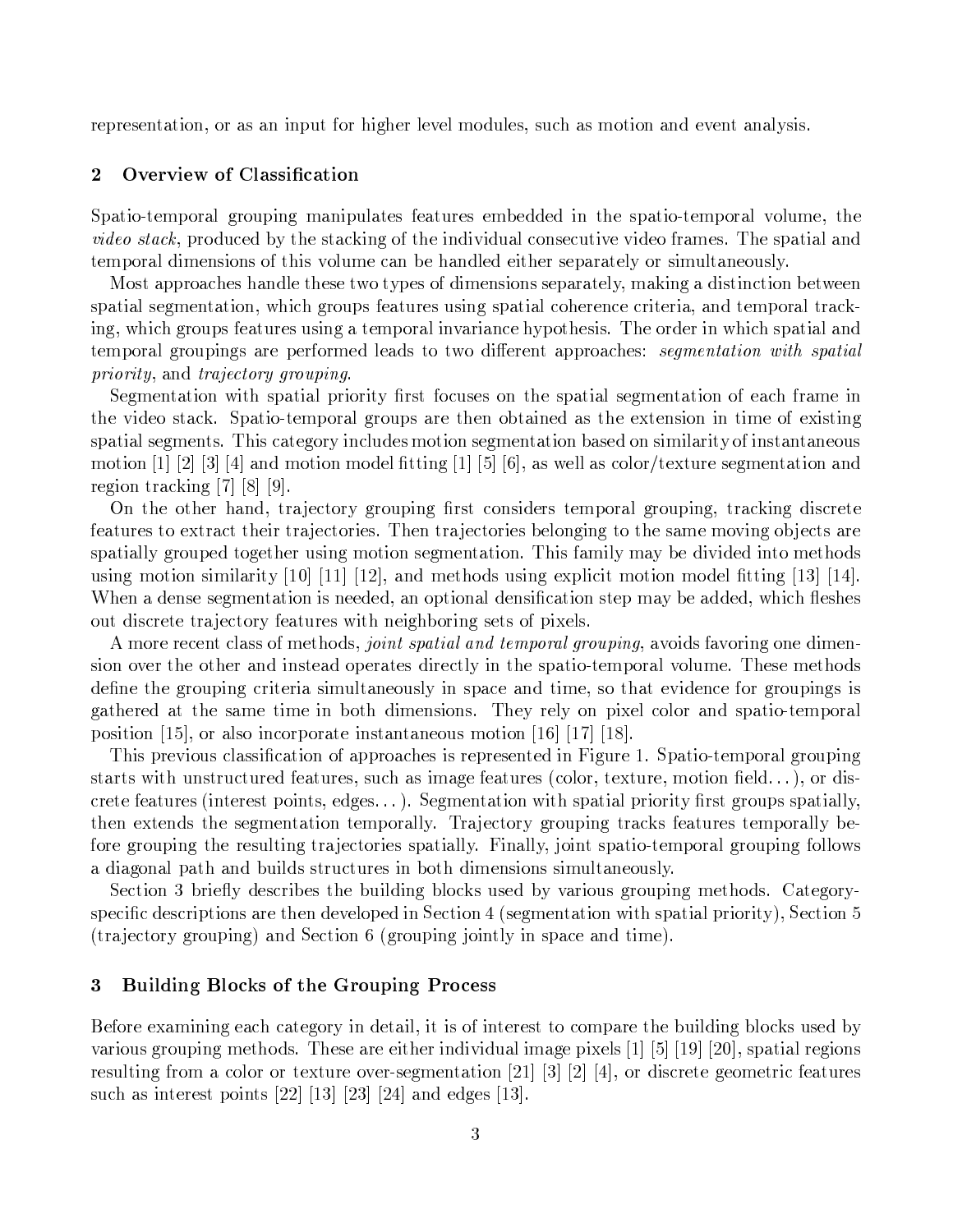representation, or as an input for higher level modules, such as motion and event analysis.

#### $\overline{2}$ Overview of Classification

Spatio-temporal grouping manipulates features embedded in the spatio-temporal volume, the video stack, produced by the stacking of the individual consecutive video frames. The spatial and temporal dimensions of this volume can be handled either separately or simultaneously.

Most approaches handle these two types of dimensions separately, making a distinction between spatial segmentation, which groups features using spatial coherence criteria, and temporal tracking, which groups features using a temporal invariance hypothesis. The order in which spatial and temporal groupings are performed leads to two different approaches: segmentation with spatial *priority*, and *trajectory grouping*.

Segmentation with spatial priority first focuses on the spatial segmentation of each frame in the video stack. Spatio-temporal groups are then obtained as the extension in time of existing spatial segments. This category includes motion segmentation based on similarity of instantaneous motion [1] [2] [3] [4] and motion model fitting [1] [5] [6], as well as color/texture segmentation and region tracking  $[7]$   $[8]$   $[9]$ .

On the other hand, trajectory grouping first considers temporal grouping, tracking discrete features to extract their trajectories. Then trajectories belonging to the same moving objects are spatially grouped together using motion segmentation. This family may be divided into methods using motion similarity [10] [11] [12], and methods using explicit motion model fitting [13] [14]. When a dense segmentation is needed, an optional densification step may be added, which fleshes out discrete trajectory features with neighboring sets of pixels.

A more recent class of methods, *joint spatial and temporal grouping*, avoids favoring one dimension over the other and instead operates directly in the spatio-temporal volume. These methods define the grouping criteria simultaneously in space and time, so that evidence for groupings is gathered at the same time in both dimensions. They rely on pixel color and spatio-temporal position [15], or also incorporate instantaneous motion [16] [17] [18].

This previous classification of approaches is represented in Figure 1. Spatio-temporal grouping starts with unstructured features, such as image features (color, texture, motion field...), or discrete features (interest points, edges...). Segmentation with spatial priority first groups spatially, then extends the segmentation temporally. Trajectory grouping tracks features temporally before grouping the resulting trajectories spatially. Finally, joint spatio-temporal grouping follows a diagonal path and builds structures in both dimensions simultaneously.

Section 3 briefly describes the building blocks used by various grouping methods. Categoryspecific descriptions are then developed in Section 4 (segmentation with spatial priority), Section 5 (trajectory grouping) and Section 6 (grouping jointly in space and time).

#### **Building Blocks of the Grouping Process** 3

Before examining each category in detail, it is of interest to compare the building blocks used by various grouping methods. These are either individual image pixels [1] [5] [19] [20], spatial regions resulting from a color or texture over-segmentation [21] [3] [2] [4], or discrete geometric features such as interest points  $[22]$  [13] [23] [24] and edges [13].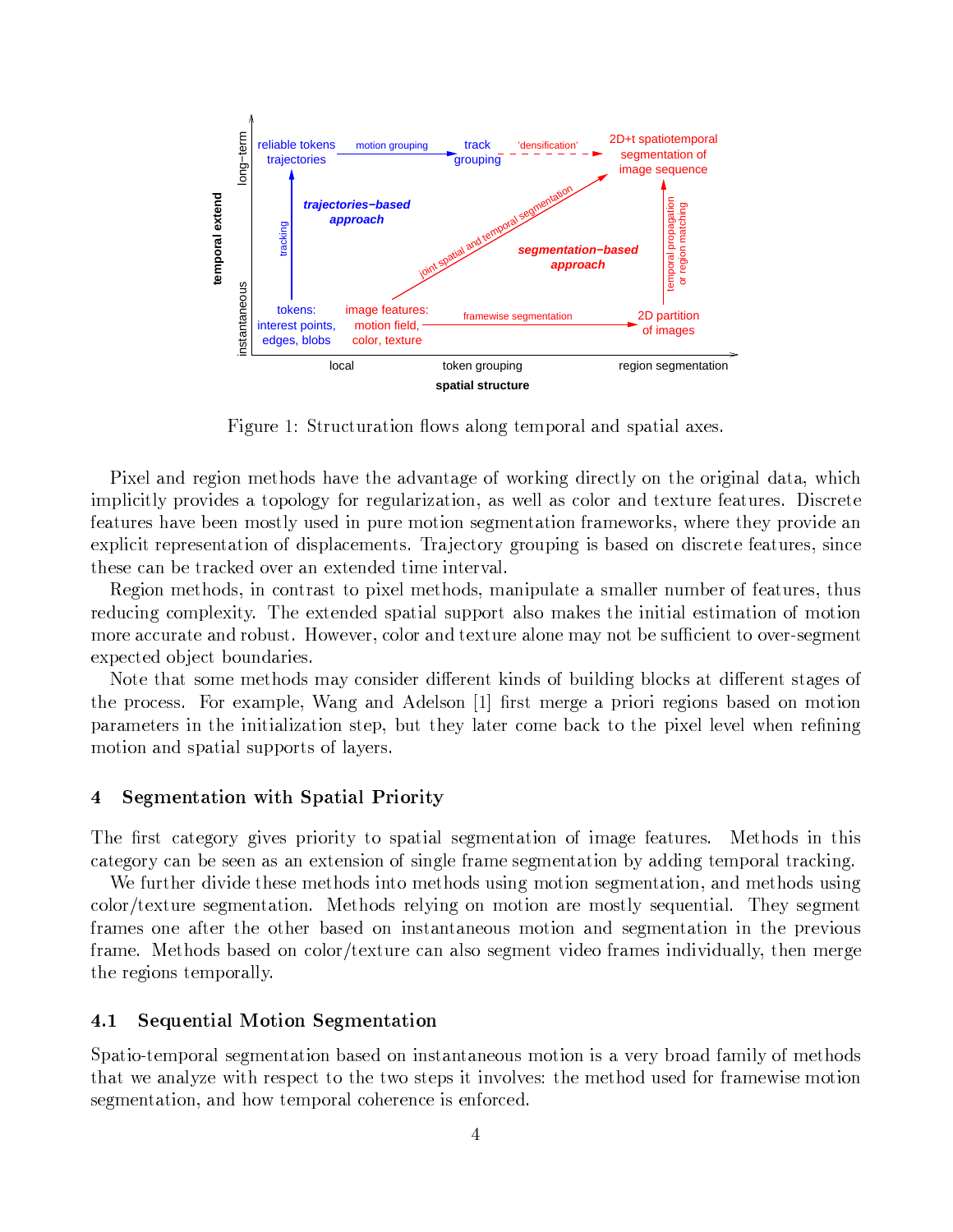

lfox  $\sim$  . At the state  $\sim$  decay,  $\sim$  decay,  $\sim$  decay. At the state  $\sim$ 

ZrAX'd`ab ^&X'\*ZrgaY[X'.&f+gHb+,"f`{X.&f+Xk`bH{`aA.j`\*Xgz¥Fg^sHZca+\*bAZr^sXv.sdcpga.sf+Xg^sZc\*Zca-`dSb+`.j`Aq-¥f+ZvEf $\mathcal{A}$ , and all government and all  $\mathcal{A}$  . A.  $\mathcal{A}$ features have been mostly used in pure motion segmentation frameworks, where they provide an XedrZvwZr.F^&X^sX,/X'aH.E`.sZcgagzbAZ,d`vwX'Y[XeaA.j,w|J-^E`Xv.sg^&p\*^sg)Zra+\*[Z,i-`,/Xb]gabAZ,svw^&X'.sXzX`.s)+^&X,wq,/Zra-vwX . After the contract  $\mathbf{X}^{\mathbf{X}}$  . After the contract  $\mathbf{X}^{\mathbf{X}}$ 

Region methods, in contrast to pixel methods, manipulate a smaller number of features, thus reducing complexity. The extended spatial support also makes the initial estimation of motion  $\blacksquare$  . end the contract of the contract  $\blacksquare$  . The contract of the contract  $\blacksquare$ expected object boundaries.

Note that some methods may consider different kinds of building blocks at different stages of . A straight a straight of the straight indicate  $\mathcal{A}$  , and  $\mathcal{A}$  ,  $\mathcal{A}$  ,  $\mathcal{A}$  ,  $\mathcal{A}$  ,  $\mathcal{A}$  ,  $\mathcal{A}$  ,  $\mathcal{A}$  ,  $\mathcal{A}$  ,  $\mathcal{A}$  ,  $\mathcal{A}$  ,  $\mathcal{A}$  ,  $\mathcal{A}$  ,  $\mathcal{A}$  ,  $\mathcal{A}$  ,  $\math$  $\mathcal{L}^{\mathcal{L}}$  . So the state  $\mathcal{L}^{\mathcal{L}}$  and  $\mathcal{L}^{\mathcal{L}}$  and  $\mathcal{L}^{\mathcal{L}}$  and  $\mathcal{L}^{\mathcal{L}}$  and  $\mathcal{L}^{\mathcal{L}}$  and  $\mathcal{L}^{\mathcal{L}}$  and  $\mathcal{L}^{\mathcal{L}}$  and  $\mathcal{L}^{\mathcal{L}}$  and  $\mathcal{L}^{\mathcal{L}}$  and  $\mathcal{L}^{\math$ motion and spatial supports of layers.

# 2-8HQ-GI8AP-@?A@B;-P -kB@U 2->6?A@B?+LKH¡5B;-5B @E:

 $F_{\rm eff}$  , and the contract  $\sim$  and  $\sim$  . The contract gradient gradient gradient gradient gradient gradient gradient gradient gradient gradient gradient gradient gradient gradient gradient gradient gradient gradient gr category can be seen as an extension of single frame segmentation by adding temporal tracking.

We further divide these methods into methods using motion segmentation, and methods using  $\mathcal{N}=\mathcal{N}=\mathcal{N}=\mathcal{N}=\mathcal{N}=\mathcal{N}=\mathcal{N}=\mathcal{N}=\mathcal{N}=\mathcal{N}=\mathcal{N}=\mathcal{N}=\mathcal{N}=\mathcal{N}=\mathcal{N}=\mathcal{N}=\mathcal{N}=\mathcal{N}=\mathcal{N}=\mathcal{N}=\mathcal{N}=\mathcal{N}=\mathcal{N}=\mathcal{N}=\mathcal{N}=\mathcal{N}=\mathcal{N}=\mathcal{N}=\mathcal{N}=\mathcal{N}=\mathcal{N}=\mathcal{N}=\mathcal{N}=\mathcal{N}=\mathcal{N}=\mathcal{N}=\mathcal{$ frames one after the other based on instantaneous motion and segmentation in the previous frame. Methods based on color/texture can also segment video frames individually, then merge the regions temporally.

### 2-8HV-4O8HPK@B?+L;@B;-P 2\8HQKGI8HPK@?H@B;-P

 $\alpha$  is the state in the state of the state  $\alpha$  state  $\alpha$  and  $\alpha$  at the set of the set of the set of the set of the set of the set of the set of the set of the set of the set of the set of the set of the set of the se . After the state  $\mathcal{A}$  is a state  $\mathcal{A}$  , and  $\mathcal{A}$  ,  $\mathcal{A}$  ,  $\mathcal{A}$  ,  $\mathcal{A}$  ,  $\mathcal{A}$  ,  $\mathcal{A}$  ,  $\mathcal{A}$  ,  $\mathcal{A}$  ,  $\mathcal{A}$  ,  $\mathcal{A}$  ,  $\mathcal{A}$  ,  $\mathcal{A}$  ,  $\mathcal{A}$  ,  $\mathcal{A}$  ,  $\mathcal{A}$  ,  $\math$ segmentation, and how temporal coherence is enforced.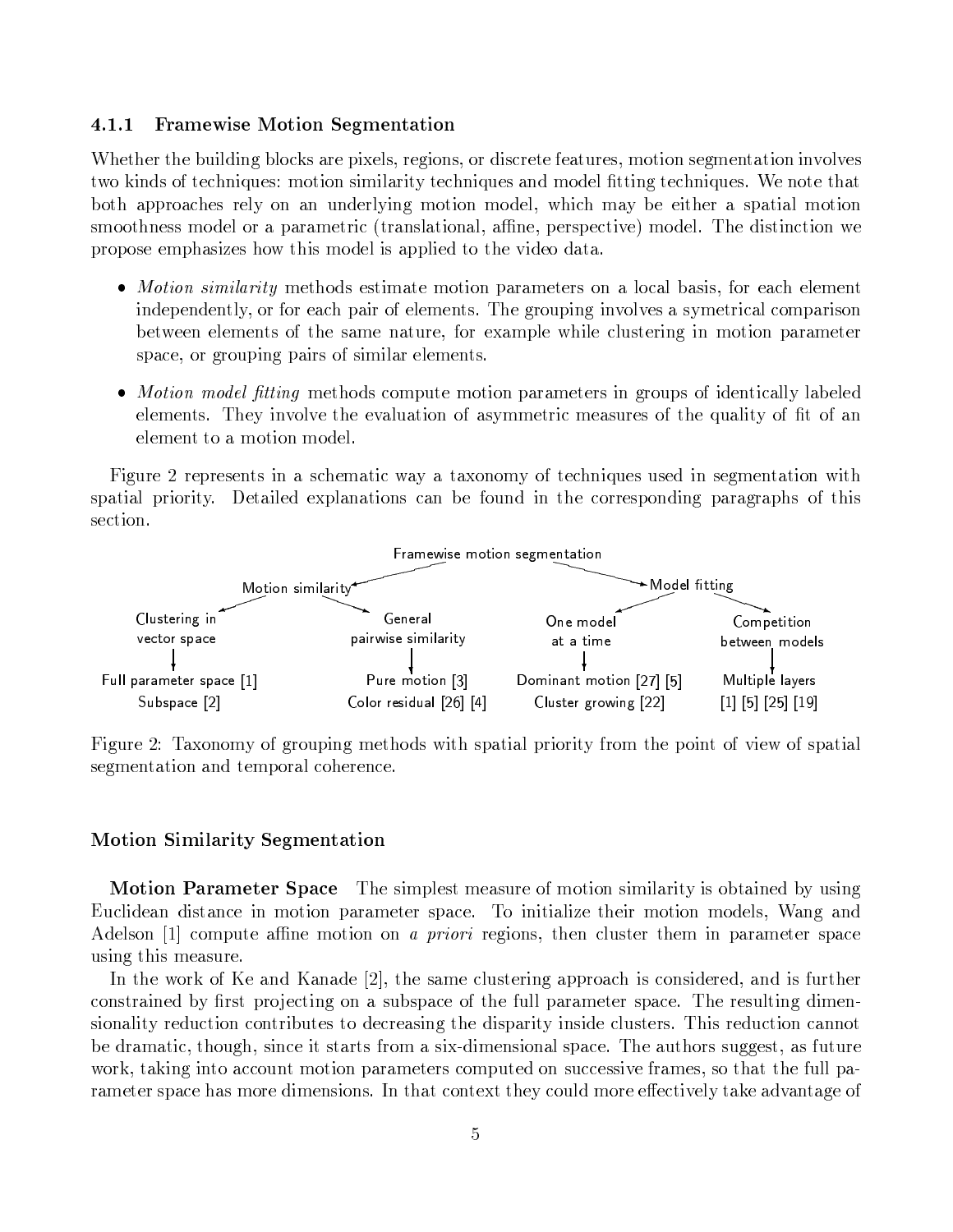#### **Framewise Motion Segmentation**  $4.1.1$

Whether the building blocks are pixels, regions, or discrete features, motion segmentation involves two kinds of techniques: motion similarity techniques and model fitting techniques. We note that both approaches rely on an underlying motion model, which may be either a spatial motion smoothness model or a parametric (translational, affine, perspective) model. The distinction we propose emphasizes how this model is applied to the video data.

- Motion similarity methods estimate motion parameters on a local basis, for each element independently, or for each pair of elements. The grouping involves a symetrical comparison between elements of the same nature, for example while clustering in motion parameter space, or grouping pairs of similar elements.
- *Motion model fitting* methods compute motion parameters in groups of identically labeled elements. They involve the evaluation of asymmetric measures of the quality of fit of an element to a motion model.

Figure 2 represents in a schematic way a taxonomy of techniques used in segmentation with spatial priority. Detailed explanations can be found in the corresponding paragraphs of this section.



Figure 2: Taxonomy of grouping methods with spatial priority from the point of view of spatial segmentation and temporal coherence.

# **Motion Similarity Segmentation**

**Motion Parameter Space** The simplest measure of motion similarity is obtained by using Euclidean distance in motion parameter space. To initialize their motion models, Wang and Adelson [1] compute affine motion on *a priori* regions, then cluster them in parameter space using this measure.

In the work of Ke and Kanade [2], the same clustering approach is considered, and is further constrained by first projecting on a subspace of the full parameter space. The resulting dimensionality reduction contributes to decreasing the disparity inside clusters. This reduction cannot be dramatic, though, since it starts from a six-dimensional space. The authors suggest, as future work, taking into account motion parameters computed on successive frames, so that the full parameter space has more dimensions. In that context they could more effectively take advantage of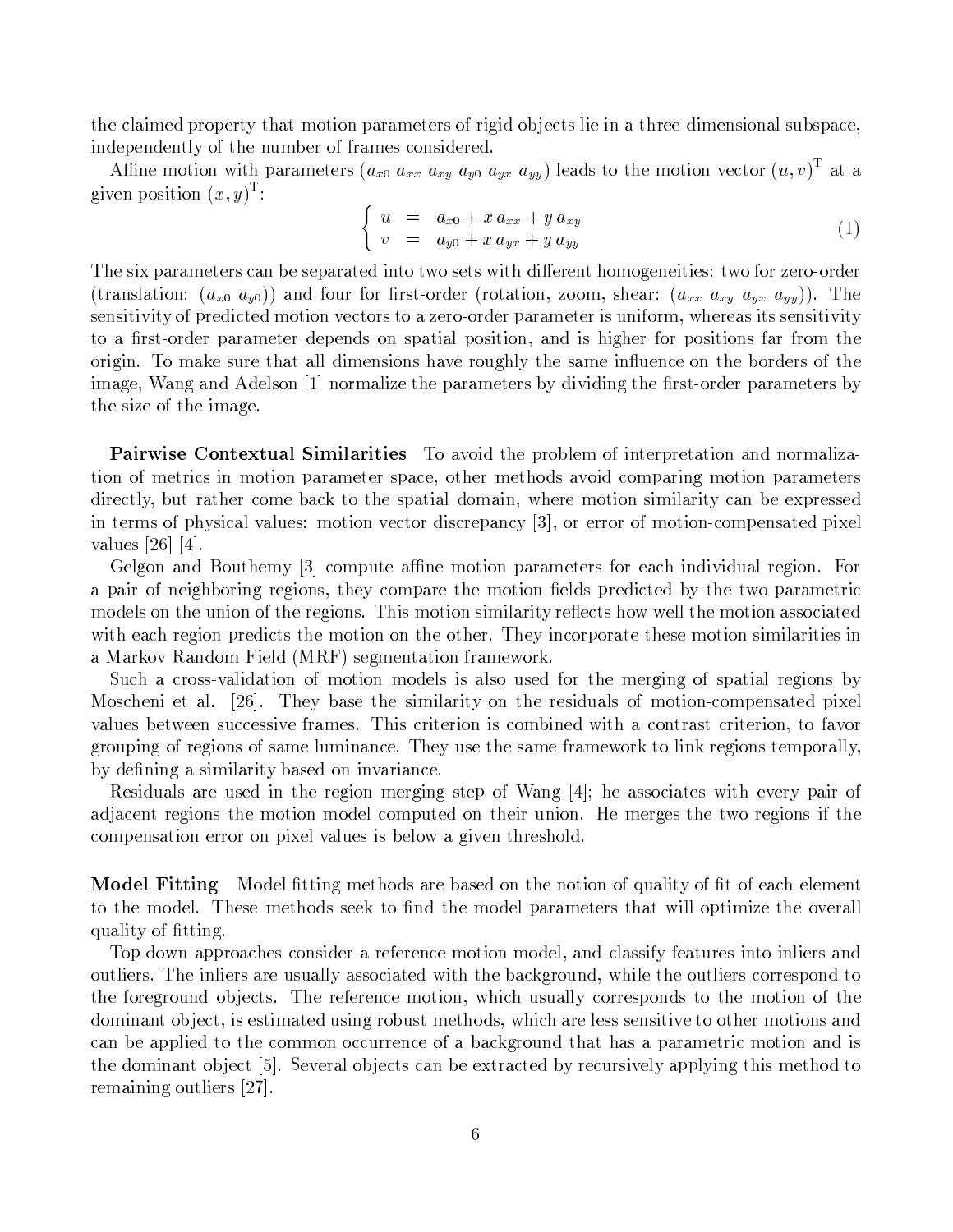the claimed property that motion parameters of rigid objects lie in a three-dimensional subspace, independently of the number of frames considered.

Affine motion with parameters  $(a_{x0} a_{xx} a_{xy} a_{y0} a_{yx} a_{yy})$  leads to the motion vector  $(u, v)^T$  at a given position  $(x, y)^{\mathrm{T}}$ :

$$
\begin{cases}\n u = a_{x0} + x a_{xx} + y a_{xy} \\
v = a_{y0} + x a_{yx} + y a_{yy}\n\end{cases}
$$
\n(1)

The six parameters can be separated into two sets with different homogeneities: two for zero-order (translation:  $(a_{x0} a_{y0})$ ) and four for first-order (rotation, zoom, shear:  $(a_{xx} a_{xy} a_{yx} a_{yy})$ ). The sensitivity of predicted motion vectors to a zero-order parameter is uniform, whereas its sensitivity to a first-order parameter depends on spatial position, and is higher for positions far from the origin. To make sure that all dimensions have roughly the same influence on the borders of the image, Wang and Adelson [1] normalize the parameters by dividing the first-order parameters by the size of the image.

**Pairwise Contextual Similarities** To avoid the problem of interpretation and normalization of metrics in motion parameter space, other methods avoid comparing motion parameters directly, but rather come back to the spatial domain, where motion similarity can be expressed in terms of physical values: motion vector discrepancy [3], or error of motion-compensated pixel values [26] [4].

Gelgon and Bouthemy [3] compute affine motion parameters for each individual region. For a pair of neighboring regions, they compare the motion fields predicted by the two parametric models on the union of the regions. This motion similarity reflects how well the motion associated with each region predicts the motion on the other. They incorporate these motion similarities in a Markov Random Field (MRF) segmentation framework.

Such a cross-validation of motion models is also used for the merging of spatial regions by Moscheni et al. [26]. They base the similarity on the residuals of motion-compensated pixel values between successive frames. This criterion is combined with a contrast criterion, to favor grouping of regions of same luminance. They use the same framework to link regions temporally, by defining a similarity based on invariance.

Residuals are used in the region merging step of Wang  $[4]$ ; he associates with every pair of adjacent regions the motion model computed on their union. He merges the two regions if the compensation error on pixel values is below a given threshold.

**Model Fitting** Model fitting methods are based on the notion of quality of fit of each element to the model. These methods seek to find the model parameters that will optimize the overall quality of fitting.

Top-down approaches consider a reference motion model, and classify features into inliers and outliers. The inliers are usually associated with the background, while the outliers correspond to the foreground objects. The reference motion, which usually corresponds to the motion of the dominant object, is estimated using robust methods, which are less sensitive to other motions and can be applied to the common occurrence of a background that has a parametric motion and is the dominant object [5]. Several objects can be extracted by recursively applying this method to remaining outliers [27].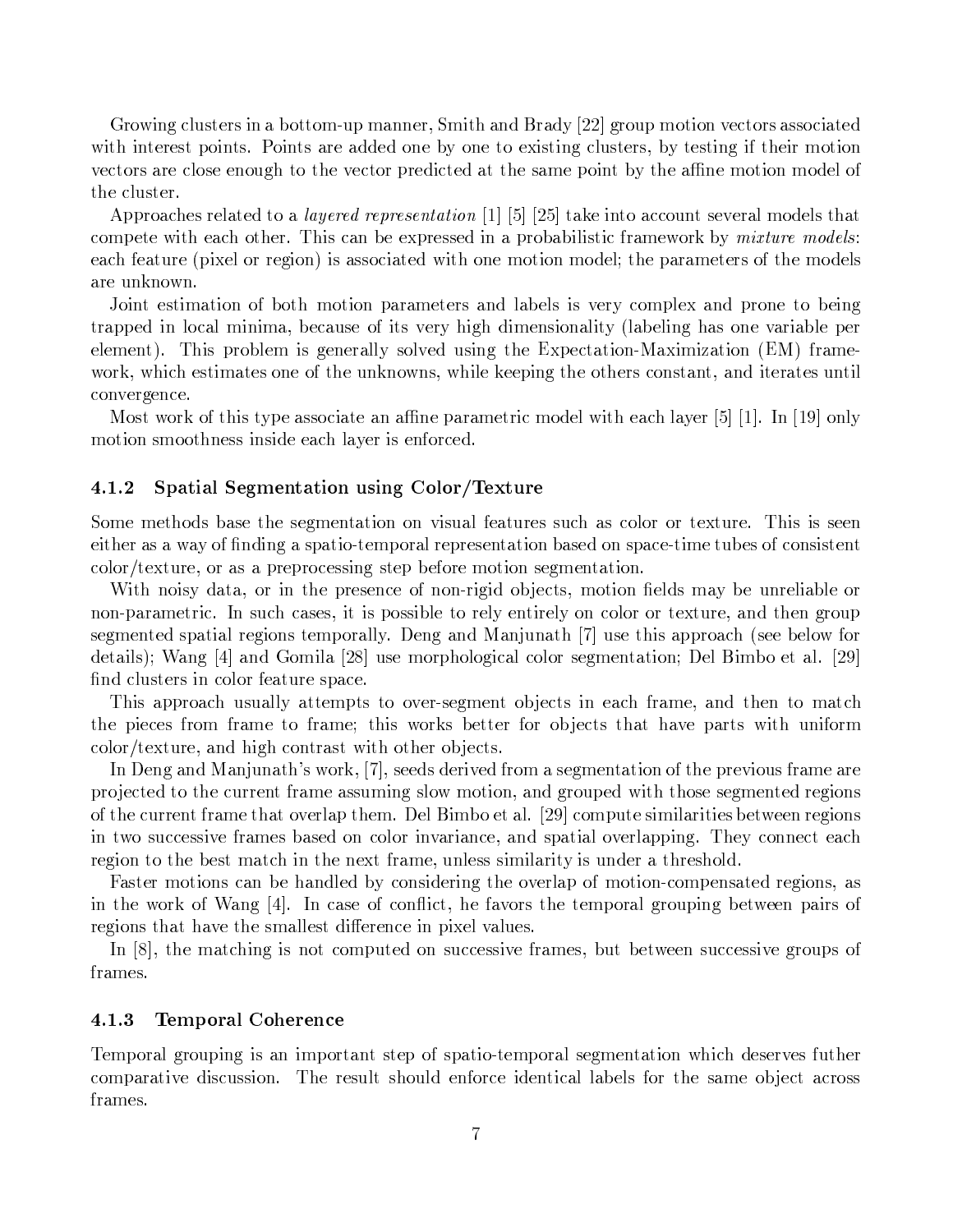Growing clusters in a bottom-up manner, Smith and Brady [22] group motion vectors associated with interest points. Points are added one by one to existing clusters, by testing if their motion vectors are close enough to the vector predicted at the same point by the affine motion model of the cluster.

Approaches related to a *layered representation* [1] [5] [25] take into account several models that compete with each other. This can be expressed in a probabilistic framework by *mixture models*: each feature (pixel or region) is associated with one motion model; the parameters of the models are unknown.

Joint estimation of both motion parameters and labels is very complex and prone to being trapped in local minima, because of its very high dimensionality (labeling has one variable per element). This problem is generally solved using the Expectation-Maximization (EM) framework, which estimates one of the unknowns, while keeping the others constant, and iterates until convergence.

Most work of this type associate an affine parametric model with each layer [5]  $[1]$ . In [19] only motion smoothness inside each layer is enforced.

#### $4.1.2$ Spatial Segmentation using Color/Texture

Some methods base the segmentation on visual features such as color or texture. This is seen either as a way of finding a spatio-temporal representation based on space-time tubes of consistent color/texture, or as a preprocessing step before motion segmentation.

With noisy data, or in the presence of non-rigid objects, motion fields may be unreliable or non-parametric. In such cases, it is possible to rely entirely on color or texture, and then group segmented spatial regions temporally. Deng and Manjunath [7] use this approach (see below for details); Wang [4] and Gomila [28] use morphological color segmentation; Del Bimbo et al. [29] find clusters in color feature space.

This approach usually attempts to over-segment objects in each frame, and then to match the pieces from frame to frame; this works better for objects that have parts with uniform color/texture, and high contrast with other objects.

In Deng and Manjunath's work, [7], seeds derived from a segmentation of the previous frame are projected to the current frame assuming slow motion, and grouped with those segmented regions of the current frame that overlap them. Del Bimbo et al. [29] compute similarities between regions in two successive frames based on color invariance, and spatial overlapping. They connect each region to the best match in the next frame, unless similarity is under a threshold.

Faster motions can be handled by considering the overlap of motion-compensated regions, as in the work of Wang  $|4|$ . In case of conflict, he favors the temporal grouping between pairs of regions that have the smallest difference in pixel values.

In  $[8]$ , the matching is not computed on successive frames, but between successive groups of frames.

#### 4.1.3 **Temporal Coherence**

Temporal grouping is an important step of spatio-temporal segmentation which deserves futher comparative discussion. The result should enforce identical labels for the same object across frames.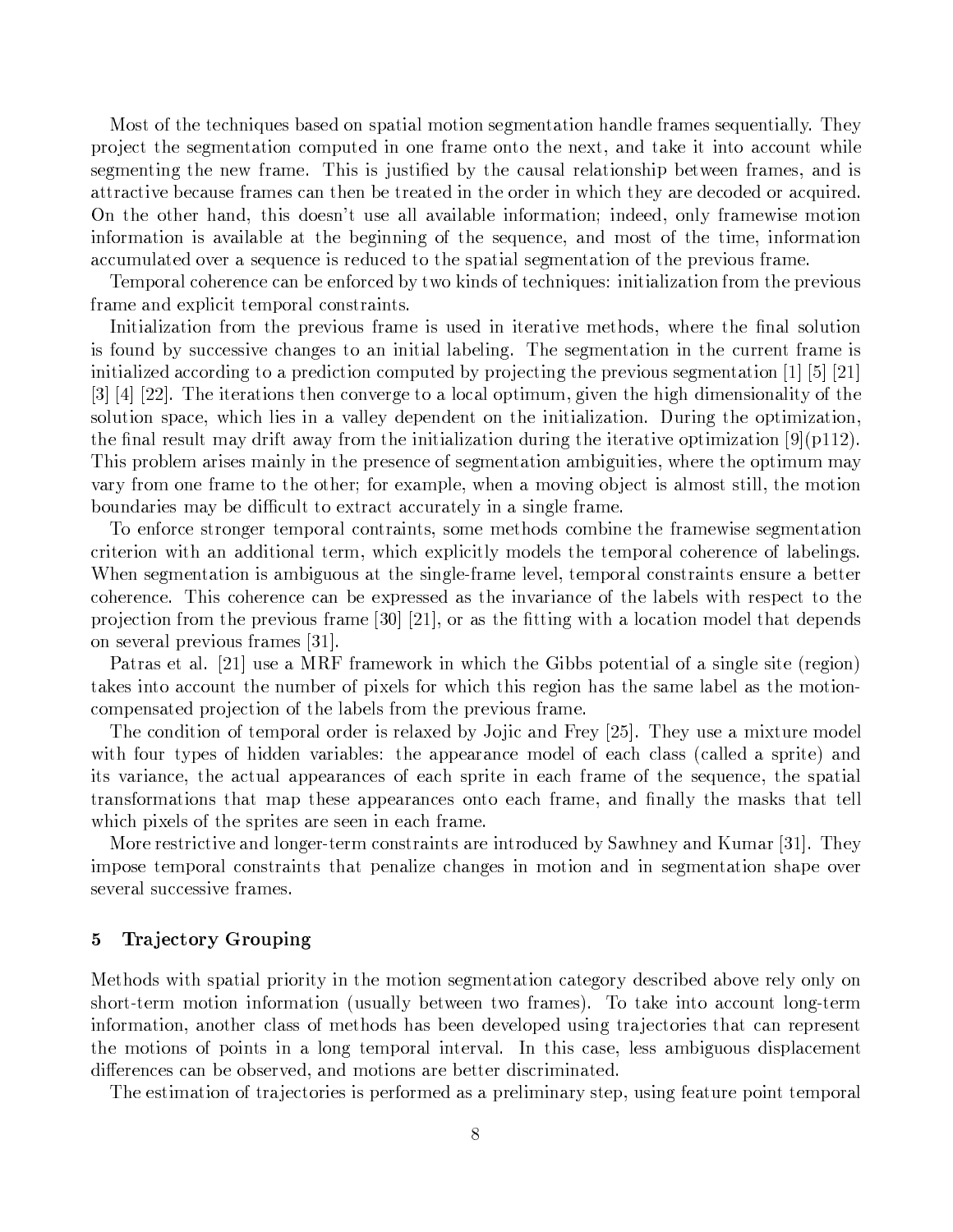Most of the techniques based on spatial motion segmentation handle frames sequentially. They project the segmentation computed in one frame onto the next, and take it into account while segmenting the new frame. This is justified by the causal relationship between frames, and is attractive because frames can then be treated in the order in which they are decoded or acquired. On the other hand, this doesn't use all available information; indeed, only framewise motion information is available at the beginning of the sequence, and most of the time, information accumulated over a sequence is reduced to the spatial segmentation of the previous frame.

Temporal coherence can be enforced by two kinds of techniques: initialization from the previous frame and explicit temporal constraints.

Initialization from the previous frame is used in iterative methods, where the final solution is found by successive changes to an initial labeling. The segmentation in the current frame is initialized according to a prediction computed by projecting the previous segmentation [1] [5] [21]  $\lceil 3 \rceil$   $\lceil 4 \rceil$   $\lceil 22 \rceil$ . The iterations then converge to a local optimum, given the high dimensionality of the solution space, which lies in a valley dependent on the initialization. During the optimization, the final result may drift away from the initialization during the iterative optimization  $[9](p112)$ . This problem arises mainly in the presence of segmentation ambiguities, where the optimum may vary from one frame to the other; for example, when a moving object is almost still, the motion boundaries may be difficult to extract accurately in a single frame.

To enforce stronger temporal contraints, some methods combine the framewise segmentation criterion with an additional term, which explicitly models the temporal coherence of labelings. When segmentation is ambiguous at the single-frame level, temporal constraints ensure a better coherence. This coherence can be expressed as the invariance of the labels with respect to the projection from the previous frame [30] [21], or as the fitting with a location model that depends on several previous frames [31].

Patras et al. [21] use a MRF framework in which the Gibbs potential of a single site (region) takes into account the number of pixels for which this region has the same label as the motioncompensated projection of the labels from the previous frame.

The condition of temporal order is relaxed by Jojic and Frey [25]. They use a mixture model with four types of hidden variables: the appearance model of each class (called a sprite) and its variance, the actual appearances of each sprite in each frame of the sequence, the spatial transformations that map these appearances onto each frame, and finally the masks that tell which pixels of the sprites are seen in each frame.

More restrictive and longer-term constraints are introduced by Sawhney and Kumar [31]. They impose temporal constraints that penalize changes in motion and in segmentation shape over several successive frames.

#### Trajectory Grouping  $\mathbf{5}$

Methods with spatial priority in the motion segmentation category described above rely only on short-term motion information (usually between two frames). To take into account long-term information, another class of methods has been developed using trajectories that can represent the motions of points in a long temporal interval. In this case, less ambiguous displacement differences can be observed, and motions are better discriminated.

The estimation of trajectories is performed as a preliminary step, using feature point temporal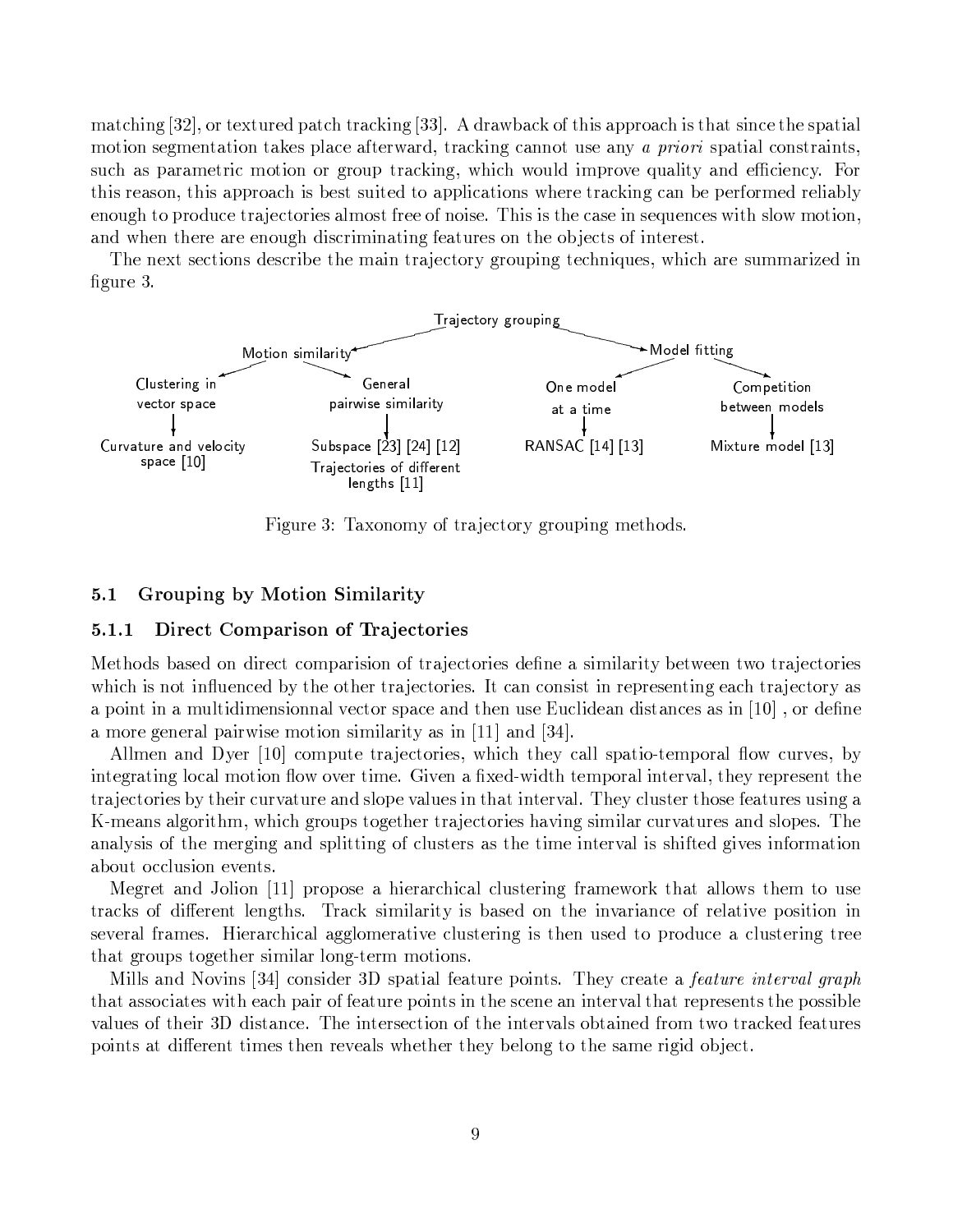matching  $[32]$ , or textured patch tracking  $[33]$ . A drawback of this approach is that since the spatial motion segmentation takes place afterward, tracking cannot use any *a priori* spatial constraints, such as parametric motion or group tracking, which would improve quality and efficiency. For this reason, this approach is best suited to applications where tracking can be performed reliably enough to produce trajectories almost free of noise. This is the case in sequences with slow motion, and when there are enough discriminating features on the objects of interest.

The next sections describe the main trajectory grouping techniques, which are summarized in figure 3.



Figure 3: Taxonomy of trajectory grouping methods.

#### Grouping by Motion Similarity  $5.1$

#### 5.1.1 Direct Comparison of Trajectories

Methods based on direct comparision of trajectories define a similarity between two trajectories which is not influenced by the other trajectories. It can consist in representing each trajectory as a point in a multidimensionnal vector space and then use Euclidean distances as in  $\left[10\right]$  , or define a more general pairwise motion similarity as in  $[11]$  and  $[34]$ .

Allmen and Dyer [10] compute trajectories, which they call spatio-temporal flow curves, by integrating local motion flow over time. Given a fixed-width temporal interval, they represent the trajectories by their curvature and slope values in that interval. They cluster those features using a K-means algorithm, which groups together trajectories having similar curvatures and slopes. The analysis of the merging and splitting of clusters as the time interval is shifted gives information about occlusion events.

Megret and Jolion [11] propose a hierarchical clustering framework that allows them to use tracks of different lengths. Track similarity is based on the invariance of relative position in several frames. Hierarchical agglomerative clustering is then used to produce a clustering tree that groups together similar long-term motions.

Mills and Novins [34] consider 3D spatial feature points. They create a *feature interval graph* that associates with each pair of feature points in the scene an interval that represents the possible values of their 3D distance. The intersection of the intervals obtained from two tracked features points at different times then reveals whether they belong to the same rigid object.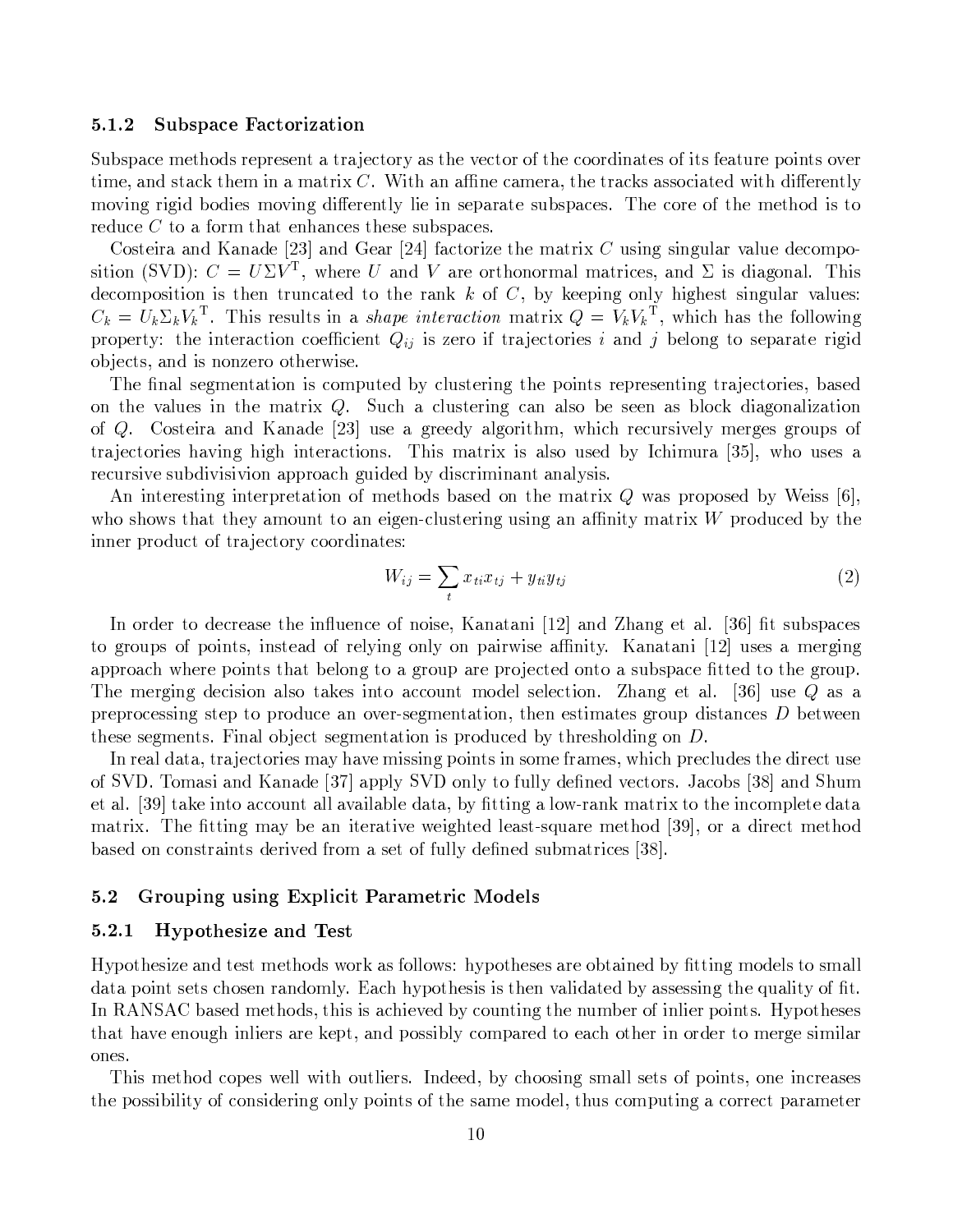#### **Subspace Factorization**  $5.1.2$

Subspace methods represent a trajectory as the vector of the coordinates of its feature points over time, and stack them in a matrix  $C$ . With an affine camera, the tracks associated with differently moving rigid bodies moving differently lie in separate subspaces. The core of the method is to reduce  $C$  to a form that enhances these subspaces.

Costeira and Kanade [23] and Gear [24] factorize the matrix C using singular value decomposition (SVD):  $C = U\Sigma V^{T}$ , where U and V are orthonormal matrices, and  $\Sigma$  is diagonal. This decomposition is then truncated to the rank k of C, by keeping only highest singular values:  $C_k = U_k \Sigma_k V_k^{\mathrm{T}}$ . This results in a *shape interaction* matrix  $Q = V_k V_k^{\mathrm{T}}$ , which has the following property: the interaction coefficient  $Q_{ij}$  is zero if trajectories i and j belong to separate rigid objects, and is nonzero otherwise.

The final segmentation is computed by clustering the points representing trajectories, based on the values in the matrix  $Q$ . Such a clustering can also be seen as block diagonalization of Q. Costeira and Kanade [23] use a greedy algorithm, which recursively merges groups of trajectories having high interactions. This matrix is also used by Ichimura [35], who uses a recursive subdivisivion approach guided by discriminant analysis.

An interesting interpretation of methods based on the matrix Q was proposed by Weiss [6], who shows that they amount to an eigen-clustering using an affinity matrix  $W$  produced by the inner product of trajectory coordinates:

$$
W_{ij} = \sum_{t} x_{ti} x_{tj} + y_{ti} y_{tj} \tag{2}
$$

In order to decrease the influence of noise, Kanatani [12] and Zhang et al. [36] fit subspaces to groups of points, instead of relying only on pairwise affinity. Kanatani [12] uses a merging approach where points that belong to a group are projected onto a subspace fitted to the group. The merging decision also takes into account model selection. Zhang et al. [36] use  $Q$  as a preprocessing step to produce an over-segmentation, then estimates group distances  $D$  between these segments. Final object segmentation is produced by thresholding on D.

In real data, trajectories may have missing points in some frames, which precludes the direct use of SVD. Tomasi and Kanade [37] apply SVD only to fully defined vectors. Jacobs [38] and Shum et al. [39] take into account all available data, by fitting a low-rank matrix to the incomplete data matrix. The fitting may be an iterative weighted least-square method [39], or a direct method based on constraints derived from a set of fully defined submatrices [38].

#### $5.2$ Grouping using Explicit Parametric Models

#### Hypothesize and Test  $5.2.1$

Hypothesize and test methods work as follows: hypotheses are obtained by fitting models to small data point sets chosen randomly. Each hypothesis is then validated by assessing the quality of fit. In RANSAC based methods, this is achieved by counting the number of inlier points. Hypotheses that have enough inliers are kept, and possibly compared to each other in order to merge similar ones.

This method copes well with outliers. Indeed, by choosing small sets of points, one increases the possibility of considering only points of the same model, thus computing a correct parameter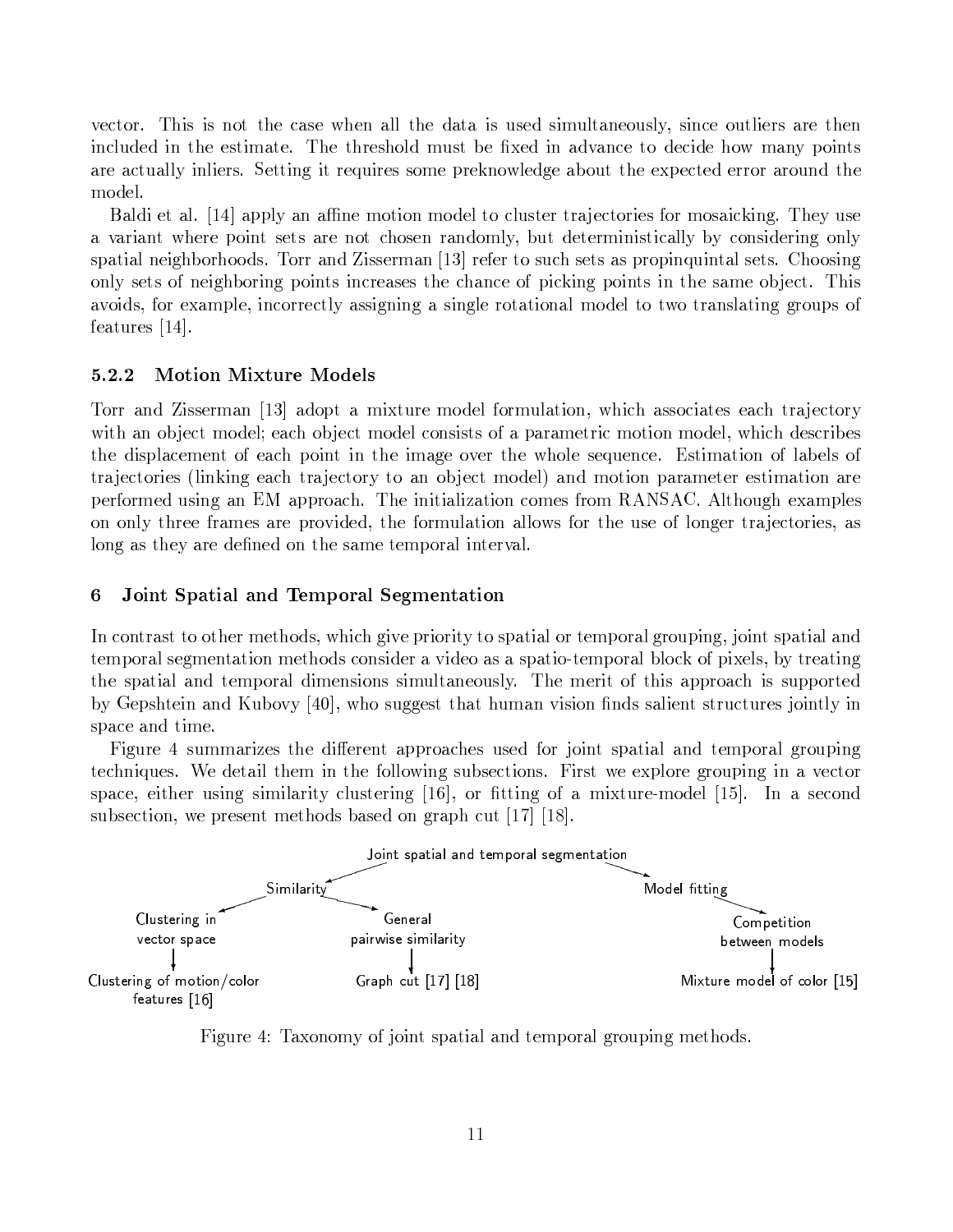vector. This is not the case when all the data is used simultaneously, since outliers are then included in the estimate. The threshold must be fixed in advance to decide how many points are actually inliers. Setting it requires some preknowledge about the expected error around the model.

Baldi et al. [14] apply an affine motion model to cluster trajectories for mosaicking. They use a variant where point sets are not chosen randomly, but deterministically by considering only spatial neighborhoods. Torr and Zisserman [13] refer to such sets as propinguintal sets. Choosing only sets of neighboring points increases the chance of picking points in the same object. This avoids, for example, incorrectly assigning a single rotational model to two translating groups of features  $[14]$ .

#### 5.2.2 **Motion Mixture Models**

Torr and Zisserman [13] adopt a mixture model formulation, which associates each trajectory with an object model; each object model consists of a parametric motion model, which describes the displacement of each point in the image over the whole sequence. Estimation of labels of trajectories (linking each trajectory to an object model) and motion parameter estimation are performed using an EM approach. The initialization comes from RANSAC. Although examples on only three frames are provided, the formulation allows for the use of longer trajectories, as long as they are defined on the same temporal interval.

#### Joint Spatial and Temporal Segmentation 6

In contrast to other methods, which give priority to spatial or temporal grouping, joint spatial and temporal segmentation methods consider a video as a spatio-temporal block of pixels, by treating the spatial and temporal dimensions simultaneously. The merit of this approach is supported by Gepshtein and Kubovy [40], who suggest that human vision finds salient structures jointly in space and time.

Figure 4 summarizes the different approaches used for joint spatial and temporal grouping techniques. We detail them in the following subsections. First we explore grouping in a vector space, either using similarity clustering [16], or fitting of a mixture-model [15]. In a second subsection, we present methods based on graph cut [17] [18].



Figure 4: Taxonomy of joint spatial and temporal grouping methods.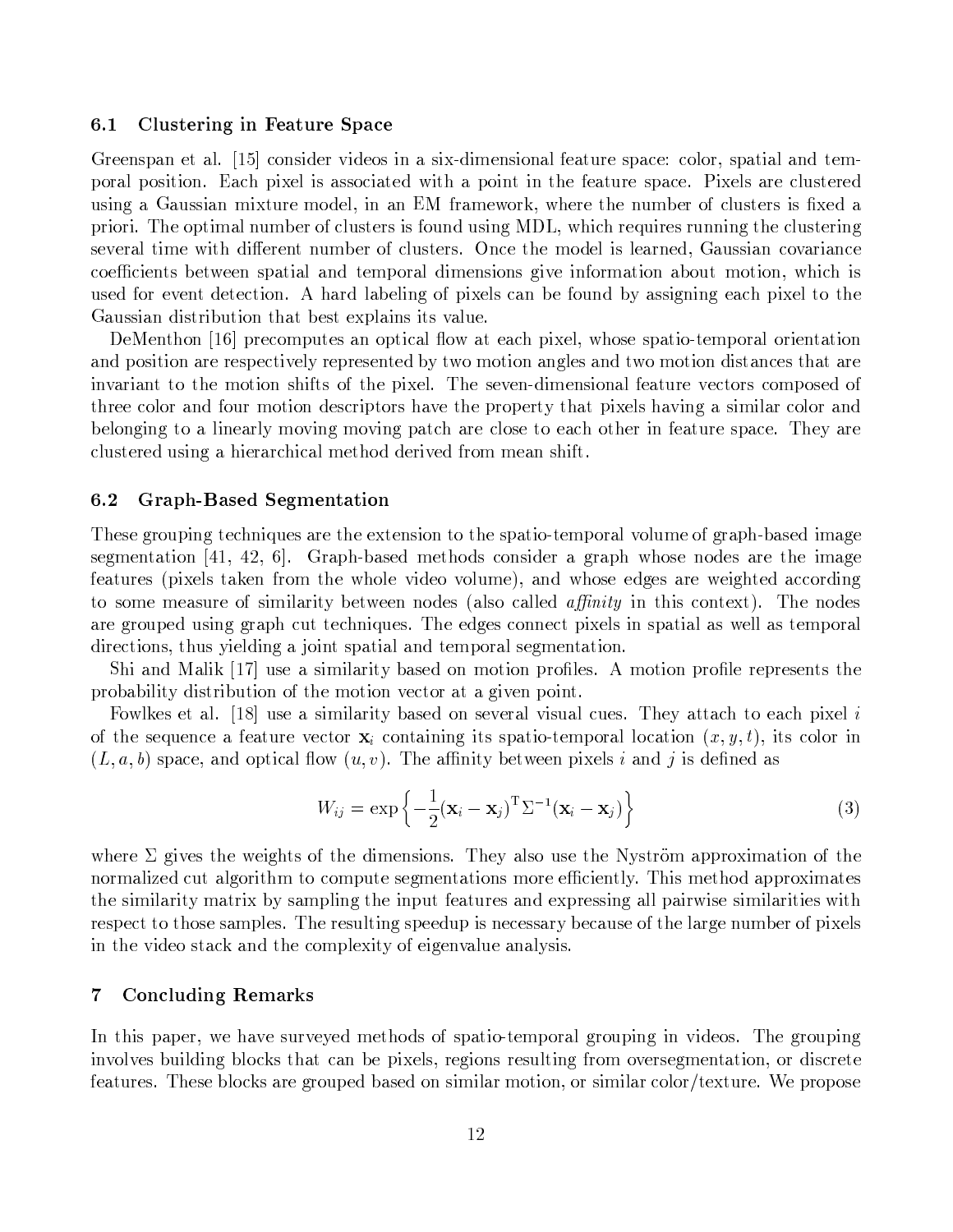#### $6.1$ Clustering in Feature Space

Greenspan et al. [15] consider videos in a six-dimensional feature space: color, spatial and temporal position. Each pixel is associated with a point in the feature space. Pixels are clustered using a Gaussian mixture model, in an EM framework, where the number of clusters is fixed a priori. The optimal number of clusters is found using MDL, which requires running the clustering several time with different number of clusters. Once the model is learned, Gaussian covariance coefficients between spatial and temporal dimensions give information about motion, which is used for event detection. A hard labeling of pixels can be found by assigning each pixel to the Gaussian distribution that best explains its value.

DeMenthon [16] precomputes an optical flow at each pixel, whose spatio-temporal orientation and position are respectively represented by two motion angles and two motion distances that are invariant to the motion shifts of the pixel. The seven-dimensional feature vectors composed of three color and four motion descriptors have the property that pixels having a similar color and belonging to a linearly moving moving patch are close to each other in feature space. They are clustered using a hierarchical method derived from mean shift.

#### $6.2$ Graph-Based Segmentation

These grouping techniques are the extension to the spatio-temporal volume of graph-based image segmentation [41, 42, 6]. Graph-based methods consider a graph whose nodes are the image features (pixels taken from the whole video volume), and whose edges are weighted according to some measure of similarity between nodes (also called *affinity* in this context). The nodes are grouped using graph cut techniques. The edges connect pixels in spatial as well as temporal directions, thus yielding a joint spatial and temporal segmentation.

Shi and Malik  $[17]$  use a similarity based on motion profiles. A motion profile represents the probability distribution of the motion vector at a given point.

Fowlkes et al. [18] use a similarity based on several visual cues. They attach to each pixel i of the sequence a feature vector  $\mathbf{x}_i$  containing its spatio-temporal location  $(x, y, t)$ , its color in  $(L, a, b)$  space, and optical flow  $(u, v)$ . The affinity between pixels i and j is defined as

$$
W_{ij} = \exp\left\{-\frac{1}{2}(\mathbf{x}_i - \mathbf{x}_j)^{\mathrm{T}} \Sigma^{-1} (\mathbf{x}_i - \mathbf{x}_j)\right\}
$$
(3)

where  $\Sigma$  gives the weights of the dimensions. They also use the Nyström approximation of the normalized cut algorithm to compute segmentations more efficiently. This method approximates the similarity matrix by sampling the input features and expressing all pairwise similarities with respect to those samples. The resulting speedup is necessary because of the large number of pixels in the video stack and the complexity of eigenvalue analysis.

#### $\overline{7}$ **Concluding Remarks**

In this paper, we have surveyed methods of spatio-temporal grouping in videos. The grouping involves building blocks that can be pixels, regions resulting from oversegmentation, or discrete features. These blocks are grouped based on similar motion, or similar color/texture. We propose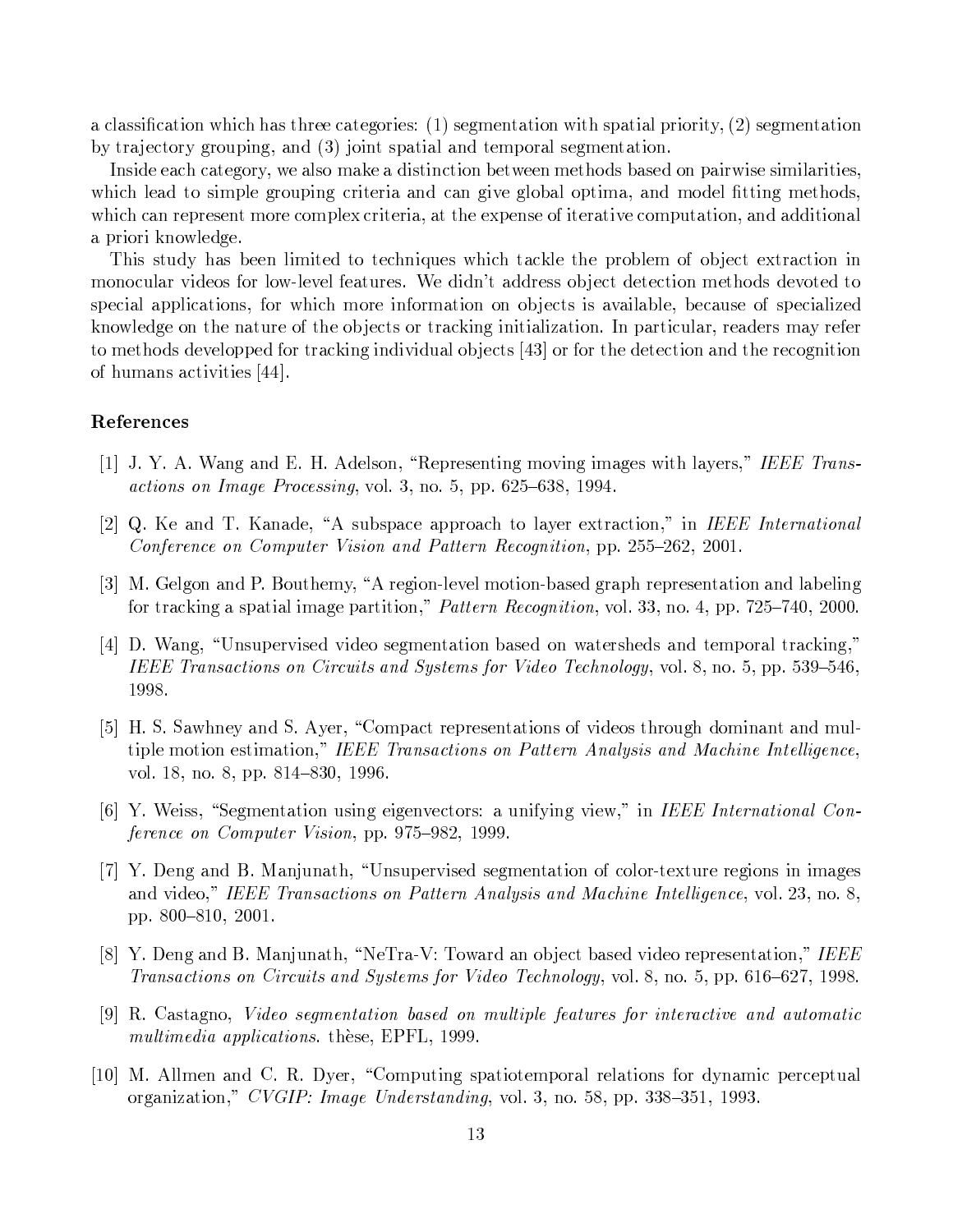a classification which has three categories:  $(1)$  segmentation with spatial priority,  $(2)$  segmentation by trajectory grouping, and (3) joint spatial and temporal segmentation.

Inside each category, we also make a distinction between methods based on pairwise similarities, which lead to simple grouping criteria and can give global optima, and model fitting methods, which can represent more complex criteria, at the expense of iterative computation, and additional a priori knowledge.

This study has been limited to techniques which tackle the problem of object extraction in monocular videos for low-level features. We didn't address object detection methods devoted to special applications, for which more information on objects is available, because of specialized knowledge on the nature of the objects or tracking initialization. In particular, readers may refer to methods developped for tracking individual objects [43] or for the detection and the recognition of humans activities [44].

# References

- [1] J. Y. A. Wang and E. H. Adelson, "Representing moving images with layers," IEEE Transactions on Image Processing, vol. 3, no. 5, pp. 625-638, 1994.
- [2] Q. Ke and T. Kanade, "A subspace approach to layer extraction," in IEEE International Conference on Computer Vision and Pattern Recognition, pp. 255–262, 2001.
- [3] M. Gelgon and P. Bouthemy, "A region-level motion-based graph representation and labeling for tracking a spatial image partition," Pattern Recognition, vol. 33, no. 4, pp. 725–740, 2000.
- [4] D. Wang, "Unsupervised video segmentation based on watersheds and temporal tracking," IEEE Transactions on Circuits and Systems for Video Technology, vol. 8, no. 5, pp. 539-546, 1998.
- [5] H. S. Sawhney and S. Ayer, "Compact representations of videos through dominant and multiple motion estimation," IEEE Transactions on Pattern Analysis and Machine Intelligence, vol. 18, no. 8, pp. 814-830, 1996.
- [6] Y. Weiss, "Segmentation using eigenvectors: a unifying view," in IEEE International Conference on Computer Vision, pp. 975–982, 1999.
- [7] Y. Deng and B. Manjunath, "Unsupervised segmentation of color-texture regions in images and video," IEEE Transactions on Pattern Analysis and Machine Intelligence, vol. 23, no. 8, pp. 800-810, 2001.
- [8] Y. Deng and B. Manjunath, "NeTra-V: Toward an object based video representation," IEEE Transactions on Circuits and Systems for Video Technology, vol. 8, no. 5, pp. 616–627, 1998.
- [9] R. Castagno, Video segmentation based on multiple features for interactive and automatic multimedia applications. these, EPFL, 1999.
- [10] M. Allmen and C. R. Dyer, "Computing spatiotemporal relations for dynamic perceptual organization," CVGIP: Image Understanding, vol. 3, no. 58, pp. 338–351, 1993.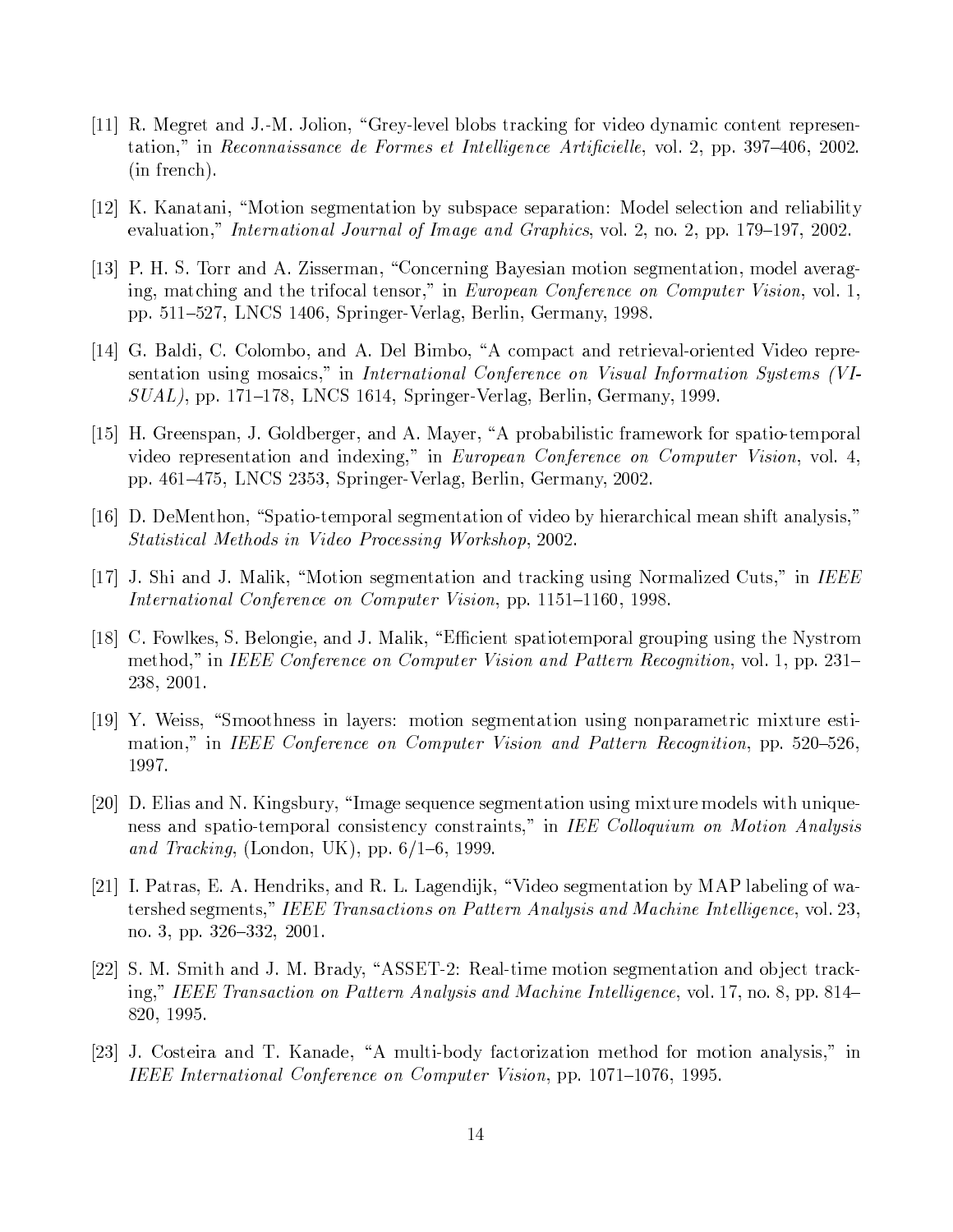- [11] R. Megret and J.-M. Jolion, "Grey-level blobs tracking for video dynamic content representation," in Reconnaissance de Formes et Intelligence Artificielle, vol. 2, pp. 397-406, 2002. (in french).
- [12] K. Kanatani, "Motion segmentation by subspace separation: Model selection and reliability evaluation," International Journal of Image and Graphics, vol. 2, no. 2, pp. 179–197, 2002.
- [13] P. H. S. Torr and A. Zisserman, "Concerning Bayesian motion segmentation, model averaging, matching and the trifocal tensor," in European Conference on Computer Vision, vol. 1, pp. 511–527, LNCS 1406, Springer-Verlag, Berlin, Germany, 1998.
- [14] G. Baldi, C. Colombo, and A. Del Bimbo, "A compact and retrieval-oriented Video representation using mosaics," in International Conference on Visual Information Systems (VI- $SUAL$ , pp. 171–178, LNCS 1614, Springer-Verlag, Berlin, Germany, 1999.
- [15] H. Greenspan, J. Goldberger, and A. Mayer, "A probabilistic framework for spatio-temporal video representation and indexing," in European Conference on Computer Vision, vol. 4, pp. 461-475, LNCS 2353, Springer-Verlag, Berlin, Germany, 2002.
- [16] D. DeMenthon, "Spatio-temporal segmentation of video by hierarchical mean shift analysis," Statistical Methods in Video Processing Workshop, 2002.
- [17] J. Shi and J. Malik, "Motion segmentation and tracking using Normalized Cuts," in IEEE International Conference on Computer Vision, pp. 1151–1160, 1998.
- [18] C. Fowlkes, S. Belongie, and J. Malik, "Efficient spatiotemporal grouping using the Nystrom method," in IEEE Conference on Computer Vision and Pattern Recognition, vol. 1, pp. 231– 238, 2001.
- [19] Y. Weiss, "Smoothness in layers: motion segmentation using nonparametric mixture estimation," in IEEE Conference on Computer Vision and Pattern Recognition, pp. 520-526, 1997.
- [20] D. Elias and N. Kingsbury, "Image sequence segmentation using mixture models with uniqueness and spatio-temporal consistency constraints," in IEE Colloquium on Motion Analysis and Tracking, (London, UK), pp.  $6/1-6$ , 1999.
- [21] I. Patras, E. A. Hendriks, and R. L. Lagendijk, "Video segmentation by MAP labeling of watershed segments," IEEE Transactions on Pattern Analysis and Machine Intelligence, vol. 23, no. 3, pp. 326-332, 2001.
- [22] S. M. Smith and J. M. Brady, "ASSET-2: Real-time motion segmentation and object tracking," IEEE Transaction on Pattern Analysis and Machine Intelligence, vol. 17, no. 8, pp. 814– 820, 1995.
- [23] J. Costeira and T. Kanade, "A multi-body factorization method for motion analysis," in IEEE International Conference on Computer Vision, pp. 1071–1076, 1995.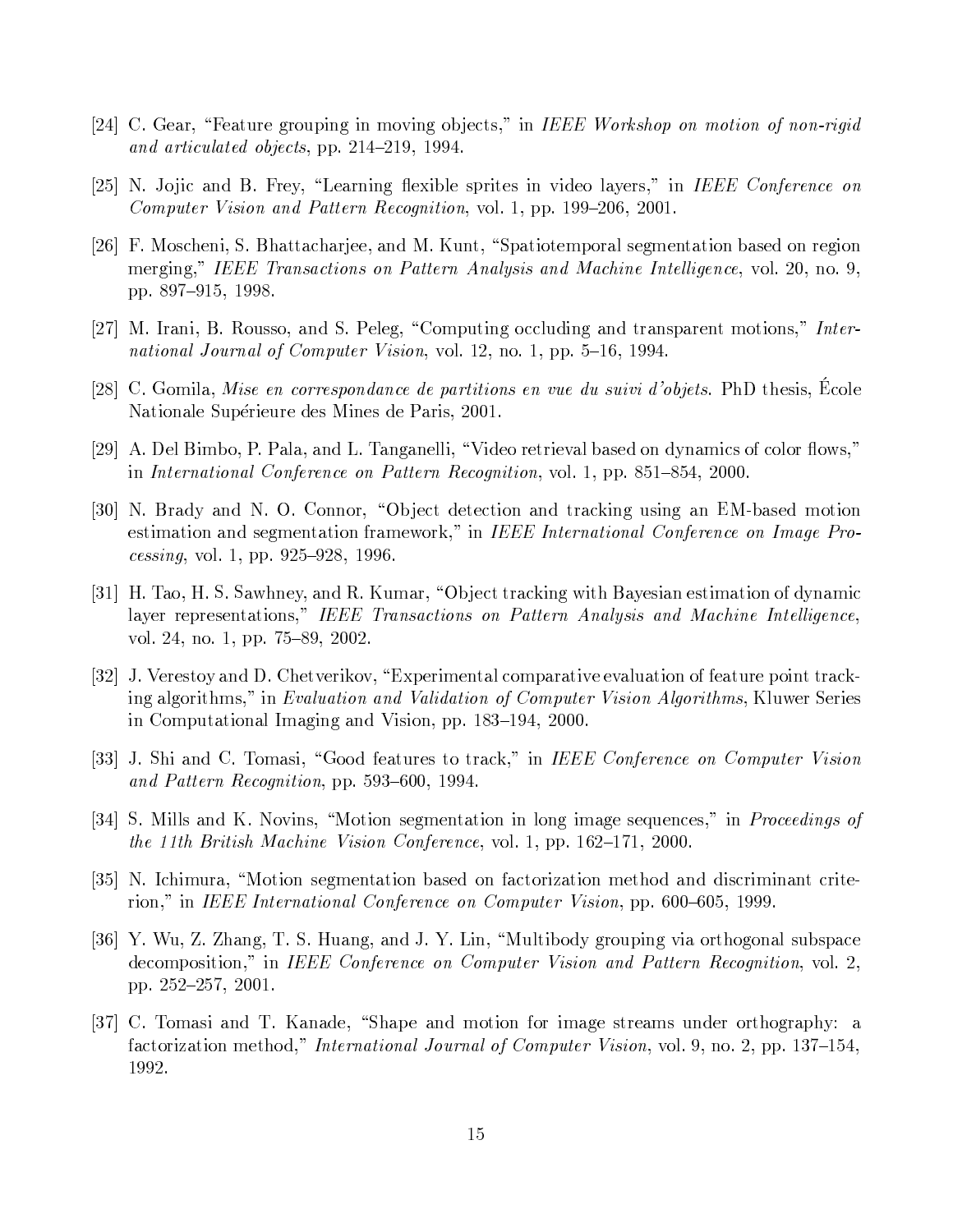- [24] C. Gear, "Feature grouping in moving objects," in IEEE Workshop on motion of non-rigid and articulated objects, pp. 214-219, 1994.
- [25] N. Jojic and B. Frey, "Learning flexible sprites in video layers," in IEEE Conference on Computer Vision and Pattern Recognition, vol. 1, pp. 199–206, 2001.
- [26] F. Moscheni, S. Bhattacharjee, and M. Kunt, "Spatiotemporal segmentation based on region merging," IEEE Transactions on Pattern Analysis and Machine Intelligence, vol. 20, no. 9, pp. 897-915, 1998.
- [27] M. Irani, B. Rousso, and S. Peleg, "Computing occluding and transparent motions," International Journal of Computer Vision, vol. 12, no. 1, pp. 5–16, 1994.
- [28] C. Gomila, Mise en correspondance de partitions en vue du suivi d'objets. PhD thesis, Ecole Nationale Supérieure des Mines de Paris, 2001.
- [29] A. Del Bimbo, P. Pala, and L. Tanganelli, "Video retrieval based on dynamics of color flows," in International Conference on Pattern Recognition, vol. 1, pp. 851–854, 2000.
- [30] N. Brady and N. O. Connor, "Object detection and tracking using an EM-based motion estimation and segmentation framework," in IEEE International Conference on Image Pro $cessing$ , vol. 1, pp. 925–928, 1996.
- [31] H. Tao, H. S. Sawhney, and R. Kumar, "Object tracking with Bayesian estimation of dynamic layer representations," IEEE Transactions on Pattern Analysis and Machine Intelligence, vol. 24, no. 1, pp. 75–89, 2002.
- [32] J. Verestoy and D. Chetverikov, "Experimental comparative evaluation of feature point tracking algorithms," in *Evaluation and Validation of Computer Vision Algorithms*, Kluwer Series in Computational Imaging and Vision, pp. 183–194, 2000.
- [33] J. Shi and C. Tomasi, "Good features to track," in IEEE Conference on Computer Vision and Pattern Recognition, pp. 593–600, 1994.
- [34] S. Mills and K. Novins, "Motion segmentation in long image sequences," in *Proceedings of* the 11th British Machine Vision Conference, vol. 1, pp. 162–171, 2000.
- [35] N. Ichimura, "Motion segmentation based on factorization method and discriminant criterion," in IEEE International Conference on Computer Vision, pp. 600–605, 1999.
- [36] Y. Wu, Z. Zhang, T. S. Huang, and J. Y. Lin, "Multibody grouping via orthogonal subspace decomposition," in IEEE Conference on Computer Vision and Pattern Recognition, vol. 2, pp. 252-257, 2001.
- [37] C. Tomasi and T. Kanade, "Shape and motion for image streams under orthography: a factorization method," International Journal of Computer Vision, vol. 9, no. 2, pp. 137–154, 1992.